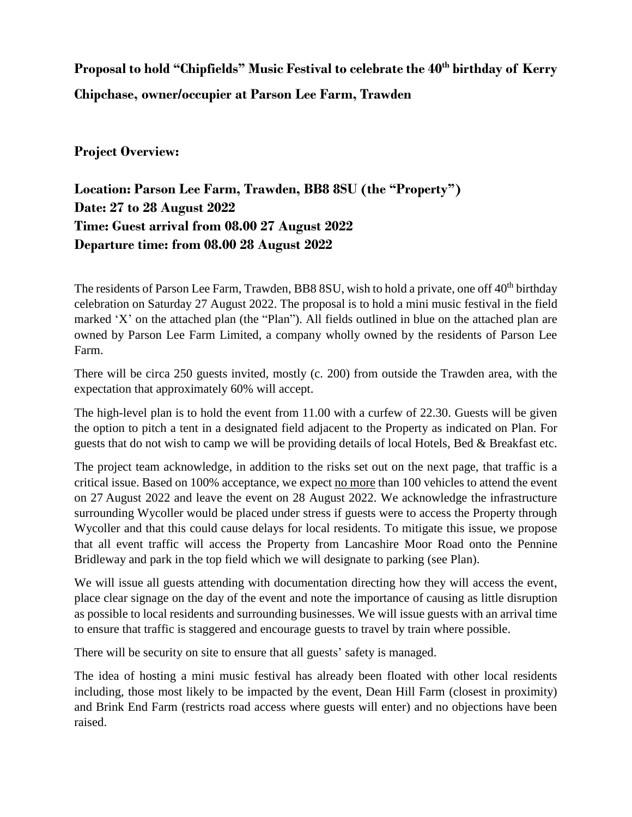## **Proposal to hold "Chipfields" Music Festival to celebrate the 40th birthday of Kerry Chipchase, owner/occupier at Parson Lee Farm, Trawden**

## **Project Overview:**

**Location: Parson Lee Farm, Trawden, BB8 8SU (the "Property") Date: 27 to 28 August 2022 Time: Guest arrival from 08.00 27 August 2022 Departure time: from 08.00 28 August 2022**

The residents of Parson Lee Farm, Trawden, BB8 8SU, wish to hold a private, one off 40<sup>th</sup> birthday celebration on Saturday 27 August 2022. The proposal is to hold a mini music festival in the field marked 'X' on the attached plan (the "Plan"). All fields outlined in blue on the attached plan are owned by Parson Lee Farm Limited, a company wholly owned by the residents of Parson Lee Farm.

There will be circa 250 guests invited, mostly (c. 200) from outside the Trawden area, with the expectation that approximately 60% will accept.

The high-level plan is to hold the event from 11.00 with a curfew of 22.30. Guests will be given the option to pitch a tent in a designated field adjacent to the Property as indicated on Plan. For guests that do not wish to camp we will be providing details of local Hotels, Bed & Breakfast etc.

The project team acknowledge, in addition to the risks set out on the next page, that traffic is a critical issue. Based on 100% acceptance, we expect no more than 100 vehicles to attend the event on 27 August 2022 and leave the event on 28 August 2022. We acknowledge the infrastructure surrounding Wycoller would be placed under stress if guests were to access the Property through Wycoller and that this could cause delays for local residents. To mitigate this issue, we propose that all event traffic will access the Property from Lancashire Moor Road onto the Pennine Bridleway and park in the top field which we will designate to parking (see Plan).

We will issue all guests attending with documentation directing how they will access the event, place clear signage on the day of the event and note the importance of causing as little disruption as possible to local residents and surrounding businesses. We will issue guests with an arrival time to ensure that traffic is staggered and encourage guests to travel by train where possible.

There will be security on site to ensure that all guests' safety is managed.

The idea of hosting a mini music festival has already been floated with other local residents including, those most likely to be impacted by the event, Dean Hill Farm (closest in proximity) and Brink End Farm (restricts road access where guests will enter) and no objections have been raised.